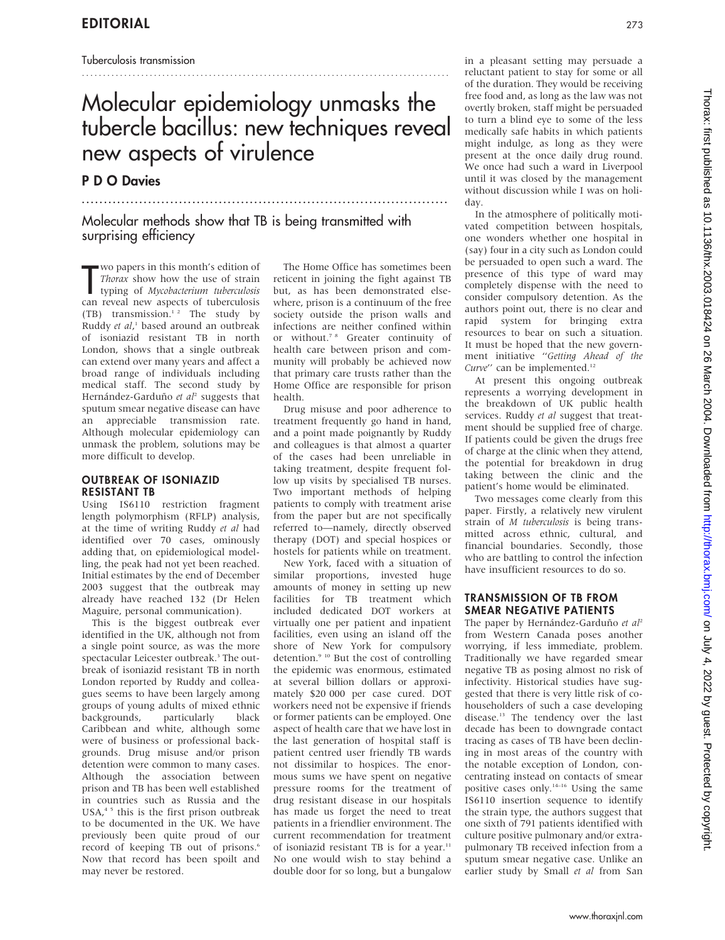## Tuberculosis transmission

# Molecular epidemiology unmasks the tubercle bacillus: new techniques reveal new aspects of virulence

...................................................................................

.......................................................................................

# P D O Davies

Molecular methods show that TB is being transmitted with surprising efficiency

wo papers in this month's edition of<br>Thorax show how the use of strain<br>typing of *Mycobacterium tuberculosis*<br>can reveal new aspects of tuberculosis wo papers in this month's edition of Thorax show how the use of strain typing of Mycobacterium tuberculosis (TB) transmission.<sup>12</sup> The study by Ruddy et al,<sup>1</sup> based around an outbreak of isoniazid resistant TB in north London, shows that a single outbreak can extend over many years and affect a broad range of individuals including medical staff. The second study by Hernández-Garduño et al<sup>2</sup> suggests that sputum smear negative disease can have an appreciable transmission rate. Although molecular epidemiology can unmask the problem, solutions may be more difficult to develop.

## OUTBREAK OF ISONIAZID RESISTANT TB

Using IS6110 restriction fragment length polymorphism (RFLP) analysis, at the time of writing Ruddy et al had identified over 70 cases, ominously adding that, on epidemiological modelling, the peak had not yet been reached. Initial estimates by the end of December 2003 suggest that the outbreak may already have reached 132 (Dr Helen Maguire, personal communication).

This is the biggest outbreak ever identified in the UK, although not from a single point source, as was the more spectacular Leicester outbreak.<sup>3</sup> The outbreak of isoniazid resistant TB in north London reported by Ruddy and colleagues seems to have been largely among groups of young adults of mixed ethnic backgrounds, particularly black Caribbean and white, although some were of business or professional backgrounds. Drug misuse and/or prison detention were common to many cases. Although the association between prison and TB has been well established in countries such as Russia and the USA,<sup>45</sup> this is the first prison outbreak to be documented in the UK. We have previously been quite proud of our record of keeping TB out of prisons.<sup>6</sup> Now that record has been spoilt and may never be restored.

The Home Office has sometimes been reticent in joining the fight against TB but, as has been demonstrated elsewhere, prison is a continuum of the free society outside the prison walls and infections are neither confined within or without.<sup>7 8</sup> Greater continuity of health care between prison and community will probably be achieved now that primary care trusts rather than the Home Office are responsible for prison health.

Drug misuse and poor adherence to treatment frequently go hand in hand, and a point made poignantly by Ruddy and colleagues is that almost a quarter of the cases had been unreliable in taking treatment, despite frequent follow up visits by specialised TB nurses. Two important methods of helping patients to comply with treatment arise from the paper but are not specifically referred to—namely, directly observed therapy (DOT) and special hospices or hostels for patients while on treatment.

New York, faced with a situation of similar proportions, invested huge amounts of money in setting up new facilities for TB treatment which included dedicated DOT workers at virtually one per patient and inpatient facilities, even using an island off the shore of New York for compulsory detention.9 10 But the cost of controlling the epidemic was enormous, estimated at several billion dollars or approximately \$20 000 per case cured. DOT workers need not be expensive if friends or former patients can be employed. One aspect of health care that we have lost in the last generation of hospital staff is patient centred user friendly TB wards not dissimilar to hospices. The enormous sums we have spent on negative pressure rooms for the treatment of drug resistant disease in our hospitals has made us forget the need to treat patients in a friendlier environment. The current recommendation for treatment of isoniazid resistant TB is for a year.<sup>11</sup> No one would wish to stay behind a double door for so long, but a bungalow

in a pleasant setting may persuade a reluctant patient to stay for some or all of the duration. They would be receiving free food and, as long as the law was not overtly broken, staff might be persuaded to turn a blind eye to some of the less medically safe habits in which patients might indulge, as long as they were present at the once daily drug round. We once had such a ward in Liverpool until it was closed by the management without discussion while I was on holiday.

In the atmosphere of politically motivated competition between hospitals, one wonders whether one hospital in (say) four in a city such as London could be persuaded to open such a ward. The presence of this type of ward may completely dispense with the need to consider compulsory detention. As the authors point out, there is no clear and rapid system for bringing extra resources to bear on such a situation. It must be hoped that the new government initiative ''Getting Ahead of the Curve" can be implemented.<sup>12</sup>

At present this ongoing outbreak represents a worrying development in the breakdown of UK public health services. Ruddy et al suggest that treatment should be supplied free of charge. If patients could be given the drugs free of charge at the clinic when they attend, the potential for breakdown in drug taking between the clinic and the patient's home would be eliminated.

Two messages come clearly from this paper. Firstly, a relatively new virulent strain of M tuberculosis is being transmitted across ethnic, cultural, and financial boundaries. Secondly, those who are battling to control the infection have insufficient resources to do so.

## TRANSMISSION OF TB FROM SMEAR NEGATIVE PATIENTS

The paper by Hernández-Garduño et al<sup>2</sup> from Western Canada poses another worrying, if less immediate, problem. Traditionally we have regarded smear negative TB as posing almost no risk of infectivity. Historical studies have suggested that there is very little risk of cohouseholders of such a case developing disease.<sup>13</sup> The tendency over the last decade has been to downgrade contact tracing as cases of TB have been declining in most areas of the country with the notable exception of London, concentrating instead on contacts of smear positive cases only.14–16 Using the same IS6110 insertion sequence to identify the strain type, the authors suggest that one sixth of 791 patients identified with culture positive pulmonary and/or extrapulmonary TB received infection from a sputum smear negative case. Unlike an earlier study by Small et al from San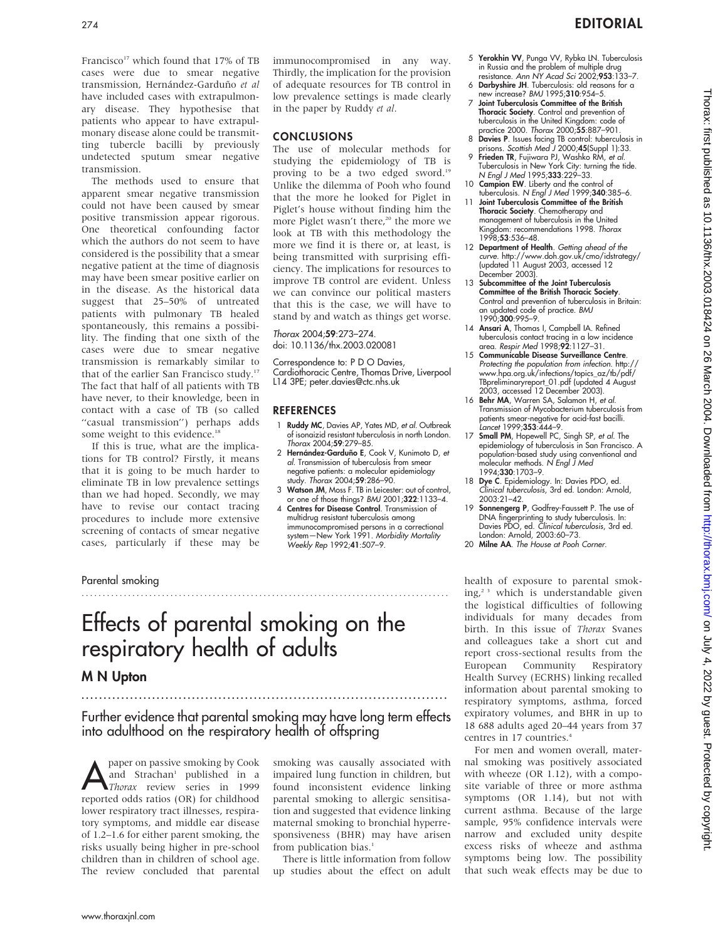Francisco<sup>17</sup> which found that  $17\%$  of TB cases were due to smear negative transmission, Hernández-Garduño et al have included cases with extrapulmonary disease. They hypothesise that patients who appear to have extrapulmonary disease alone could be transmitting tubercle bacilli by previously undetected sputum smear negative transmission.

The methods used to ensure that apparent smear negative transmission could not have been caused by smear positive transmission appear rigorous. One theoretical confounding factor which the authors do not seem to have considered is the possibility that a smear negative patient at the time of diagnosis may have been smear positive earlier on in the disease. As the historical data suggest that 25–50% of untreated patients with pulmonary TB healed spontaneously, this remains a possibility. The finding that one sixth of the cases were due to smear negative transmission is remarkably similar to that of the earlier San Francisco study.<sup>17</sup> The fact that half of all patients with TB have never, to their knowledge, been in contact with a case of TB (so called "casual transmission") perhaps adds some weight to this evidence.<sup>18</sup>

If this is true, what are the implications for TB control? Firstly, it means that it is going to be much harder to eliminate TB in low prevalence settings than we had hoped. Secondly, we may have to revise our contact tracing procedures to include more extensive screening of contacts of smear negative cases, particularly if these may be

## Parental smoking

# Effects of parental smoking on the respiratory health of adults

...................................................................................

# M N Upton

Further evidence that parental smoking may have long term effects into adulthood on the respiratory health of offspring

.......................................................................................

**A** paper on passive smoking by Cook<br>and Strachan' published in a<br>*Thorax* review series in 1999 and Strachan<sup>1</sup> published in a Thorax review series in 1999 reported odds ratios (OR) for childhood lower respiratory tract illnesses, respiratory symptoms, and middle ear disease of 1.2–1.6 for either parent smoking, the risks usually being higher in pre-school children than in children of school age. The review concluded that parental smoking was causally associated with impaired lung function in children, but found inconsistent evidence linking parental smoking to allergic sensitisation and suggested that evidence linking maternal smoking to bronchial hyperresponsiveness (BHR) may have arisen from publication bias.<sup>1</sup>

immunocompromised in any way. Thirdly, the implication for the provision of adequate resources for TB control in low prevalence settings is made clearly

The use of molecular methods for studying the epidemiology of TB is proving to be a two edged sword.19 Unlike the dilemma of Pooh who found that the more he looked for Piglet in Piglet's house without finding him the more Piglet wasn't there,<sup>20</sup> the more we look at TB with this methodology the more we find it is there or, at least, is being transmitted with surprising efficiency. The implications for resources to improve TB control are evident. Unless we can convince our political masters that this is the case, we will have to stand by and watch as things get worse.

Cardiothoracic Centre, Thomas Drive, Liverpool

1 Ruddy MC, Davies AP, Yates MD, et al. Outbreak of isonaizid resistant tuberculosis in north London.

2 Hernández-Garduño E, Cook V, Kunimoto D, et al. Transmission of tuberculosis from smear negative patients: a molecular epidemiology study. Thorax 2004;59:286–90.

3 Watson JM, Moss F. TB in Leicester: out of control, or one of those things? BMJ 2001;322:1133–4. 4 Centres for Disease Control. Transmission of multidrug resistant tuberculosis among

immunocompromised persons in a correctional system—New York 1991. Morbidity Mortality Weekly Rep 1992;41:507–9.

in the paper by Ruddy et al.

CONCLUSIONS

Thorax 2004;59:273–278. Thorax 2004;59:273–274. doi: 10.1136/thx.2003.020081 doi: 10.1136/thx.2003.020081 Correspondence to: P D O Davies,

**REFERENCES** 

L14 3PE; peter.davies@ctc.nhs.uk

Thorax 2004;59:279–85.

There is little information from follow up studies about the effect on adult

- 5 Yerokhin VV, Punga VV, Rybka LN. Tuberculosis in Russia and the problem of multiple drug resistance. Ann NY Acad Sci 2002;953:133–7.
- 6 Darbyshire JH. Tuberculosis: old reasons for a new increase? BMJ 1995;310:954–5.
- 7 Joint Tuberculosis Committee of the British Thoracic Society. Control and prevention of tuberculosis in the United Kingdom: code of practice 2000. Thorax 2000;55:887–901.
- 8 Davies P. Issues facing TB control: tuberculosis in prisons. Scottish Med J 2000;45(Suppl 1):33.
- 9 Frieden TR, Fujiwara PJ, Washko RM, et al. Tuberculosis in New York City: turning the tide. N Engl J Med 1995;333:229–33. 10 Campion EW. Liberty and the control of
- tuberculosis. N Engl<sup>'</sup>J Med 1999;340:385-6. 11 Joint Tuberculosis Committee of the British Thoracic Society. Chemotherapy and management of tuberculosis in the United Kingdom: recommendations 1998. Thorax 1998;53:536–48.
- 12 Department of Health. Getting ahead of the curve. http://www.doh.gov.uk/cmo/idstrategy/ (updated 11 August 2003, accessed 12 December 2003).
- 13 Subcommittee of the Joint Tuberculosis Committee of the British Thoracic Society. Control and prevention of tuberculosis in Britain: an updated code of practice. BMJ 1990;300:995–9.
- 14 Ansari A, Thomas I, Campbell IA. Refined tuberculosis contact tracing in a low incidence area. Respir Med 1998;92:1127–31.
- 15 Communicable Disease Surveillance Centre. Protecting the population from infection. http:// www.hpa.org.uk/infections/topics\_az/tb/pdf/ TBpreliminaryreport\_01.pdf (updated 4 August 2003, accessed 12 December 2003).
- 16 Behr MA, Warren SA, Salamon H, et al. Transmission of Mycobacterium tuberculosis from patients smear-negative for acid-fast bacilli. Lancet 1999;353:444–9.
- 17 **Small PM**, Hopewell PC, Singh SP, et al. The epidemiology of tuberculosis in San Francisco. A population-based study using conventional and molecular methods. N Engl J Med 1994;330:1703–9.
- 18 Dye C. Epidemiology. In: Davies PDO, ed. Clinical tuberculosis, 3rd ed. London: Arnold,  $2003.21 - 42$
- 19 Sonnengerg P, Godfrey-Faussett P. The use of DNA fingerprinting to study tuberculosis. In: Davies PDO, ed. Clinical tuberculosis, 3rd ed. London: Arnold, 2003:60–73.
- 20 Milne AA. The House at Pooh Corner.

health of exposure to parental smoking, $2^3$  which is understandable given the logistical difficulties of following individuals for many decades from birth. In this issue of Thorax Svanes and colleagues take a short cut and report cross-sectional results from the European Community Respiratory Health Survey (ECRHS) linking recalled information about parental smoking to respiratory symptoms, asthma, forced expiratory volumes, and BHR in up to 18 688 adults aged 20–44 years from 37 centres in 17 countries.4

For men and women overall, maternal smoking was positively associated with wheeze (OR 1.12), with a composite variable of three or more asthma symptoms (OR 1.14), but not with current asthma. Because of the large sample, 95% confidence intervals were narrow and excluded unity despite excess risks of wheeze and asthma symptoms being low. The possibility that such weak effects may be due to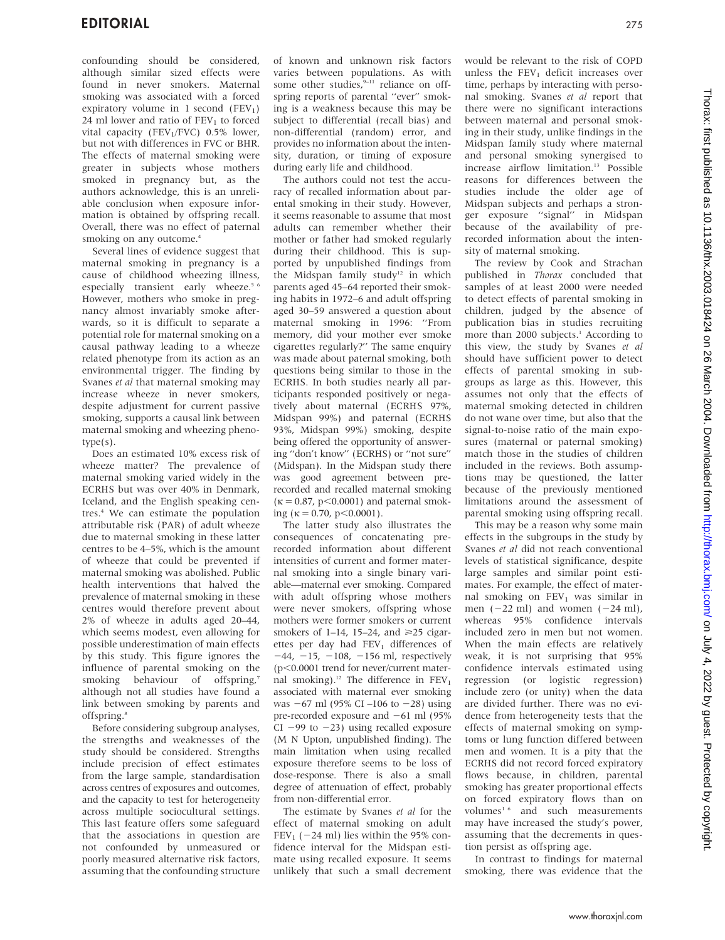confounding should be considered, although similar sized effects were found in never smokers. Maternal smoking was associated with a forced expiratory volume in 1 second  $(FEV_1)$ 24 ml lower and ratio of  $FEV<sub>1</sub>$  to forced vital capacity (FEV<sub>1</sub>/FVC)  $0.5\%$  lower, but not with differences in FVC or BHR. The effects of maternal smoking were greater in subjects whose mothers smoked in pregnancy but, as the authors acknowledge, this is an unreliable conclusion when exposure information is obtained by offspring recall. Overall, there was no effect of paternal smoking on any outcome.<sup>4</sup>

Several lines of evidence suggest that maternal smoking in pregnancy is a cause of childhood wheezing illness, especially transient early wheeze.<sup>5</sup> However, mothers who smoke in pregnancy almost invariably smoke afterwards, so it is difficult to separate a potential role for maternal smoking on a causal pathway leading to a wheeze related phenotype from its action as an environmental trigger. The finding by Svanes et al that maternal smoking may increase wheeze in never smokers, despite adjustment for current passive smoking, supports a causal link between maternal smoking and wheezing phenotype(s).

Does an estimated 10% excess risk of wheeze matter? The prevalence of maternal smoking varied widely in the ECRHS but was over 40% in Denmark, Iceland, and the English speaking centres.<sup>4</sup> We can estimate the population attributable risk (PAR) of adult wheeze due to maternal smoking in these latter centres to be 4–5%, which is the amount of wheeze that could be prevented if maternal smoking was abolished. Public health interventions that halved the prevalence of maternal smoking in these centres would therefore prevent about 2% of wheeze in adults aged 20–44, which seems modest, even allowing for possible underestimation of main effects by this study. This figure ignores the influence of parental smoking on the smoking behaviour of offspring,<sup>7</sup> although not all studies have found a link between smoking by parents and offspring.8

Before considering subgroup analyses, the strengths and weaknesses of the study should be considered. Strengths include precision of effect estimates from the large sample, standardisation across centres of exposures and outcomes, and the capacity to test for heterogeneity across multiple sociocultural settings. This last feature offers some safeguard that the associations in question are not confounded by unmeasured or poorly measured alternative risk factors, assuming that the confounding structure of known and unknown risk factors varies between populations. As with some other studies, $9-11$  reliance on offspring reports of parental "ever" smoking is a weakness because this may be subject to differential (recall bias) and non-differential (random) error, and provides no information about the intensity, duration, or timing of exposure during early life and childhood.

The authors could not test the accuracy of recalled information about parental smoking in their study. However, it seems reasonable to assume that most adults can remember whether their mother or father had smoked regularly during their childhood. This is supported by unpublished findings from the Midspan family study<sup>12</sup> in which parents aged 45–64 reported their smoking habits in 1972–6 and adult offspring aged 30–59 answered a question about maternal smoking in 1996: ''From memory, did your mother ever smoke cigarettes regularly?'' The same enquiry was made about paternal smoking, both questions being similar to those in the ECRHS. In both studies nearly all participants responded positively or negatively about maternal (ECRHS 97%, Midspan 99%) and paternal (ECRHS 93%, Midspan 99%) smoking, despite being offered the opportunity of answering ''don't know'' (ECRHS) or ''not sure'' (Midspan). In the Midspan study there was good agreement between prerecorded and recalled maternal smoking  $(k = 0.87, p < 0.0001)$  and paternal smoking ( $\kappa = 0.70$ , p $\leq 0.0001$ ).

The latter study also illustrates the consequences of concatenating prerecorded information about different intensities of current and former maternal smoking into a single binary variable—maternal ever smoking. Compared with adult offspring whose mothers were never smokers, offspring whose mothers were former smokers or current smokers of 1–14, 15–24, and  $\geq 25$  cigarettes per day had  $FEV<sub>1</sub>$  differences of  $-44, -15, -108, -156$  ml, respectively  $(p<0.0001$  trend for never/current maternal smoking).<sup>12</sup> The difference in  $FEV<sub>1</sub>$ associated with maternal ever smoking was  $-67$  ml (95% CI –106 to  $-28$ ) using pre-recorded exposure and  $-61$  ml (95%)  $CI -99$  to  $-23$ ) using recalled exposure (M N Upton, unpublished finding). The main limitation when using recalled exposure therefore seems to be loss of dose-response. There is also a small degree of attenuation of effect, probably from non-differential error.

The estimate by Svanes et al for the effect of maternal smoking on adult FEV<sub>1</sub> ( $-24$  ml) lies within the 95% confidence interval for the Midspan estimate using recalled exposure. It seems unlikely that such a small decrement would be relevant to the risk of COPD unless the  $FEV<sub>1</sub>$  deficit increases over time, perhaps by interacting with personal smoking. Svanes et al report that there were no significant interactions between maternal and personal smoking in their study, unlike findings in the Midspan family study where maternal and personal smoking synergised to increase airflow limitation.<sup>13</sup> Possible reasons for differences between the studies include the older age of Midspan subjects and perhaps a stronger exposure ''signal'' in Midspan because of the availability of prerecorded information about the intensity of maternal smoking.

The review by Cook and Strachan published in Thorax concluded that samples of at least 2000 were needed to detect effects of parental smoking in children, judged by the absence of publication bias in studies recruiting more than 2000 subjects.<sup>1</sup> According to this view, the study by Svanes et al should have sufficient power to detect effects of parental smoking in subgroups as large as this. However, this assumes not only that the effects of maternal smoking detected in children do not wane over time, but also that the signal-to-noise ratio of the main exposures (maternal or paternal smoking) match those in the studies of children included in the reviews. Both assumptions may be questioned, the latter because of the previously mentioned limitations around the assessment of parental smoking using offspring recall.

This may be a reason why some main effects in the subgroups in the study by Svanes et al did not reach conventional levels of statistical significance, despite large samples and similar point estimates. For example, the effect of maternal smoking on FEV<sub>1</sub> was similar in men  $(-22 \text{ ml})$  and women  $(-24 \text{ ml})$ , whereas 95% confidence intervals included zero in men but not women. When the main effects are relatively weak, it is not surprising that 95% confidence intervals estimated using regression (or logistic regression) include zero (or unity) when the data are divided further. There was no evidence from heterogeneity tests that the effects of maternal smoking on symptoms or lung function differed between men and women. It is a pity that the ECRHS did not record forced expiratory flows because, in children, parental smoking has greater proportional effects on forced expiratory flows than on volumes<sup>16</sup> and such measurements may have increased the study's power, assuming that the decrements in question persist as offspring age.

In contrast to findings for maternal smoking, there was evidence that the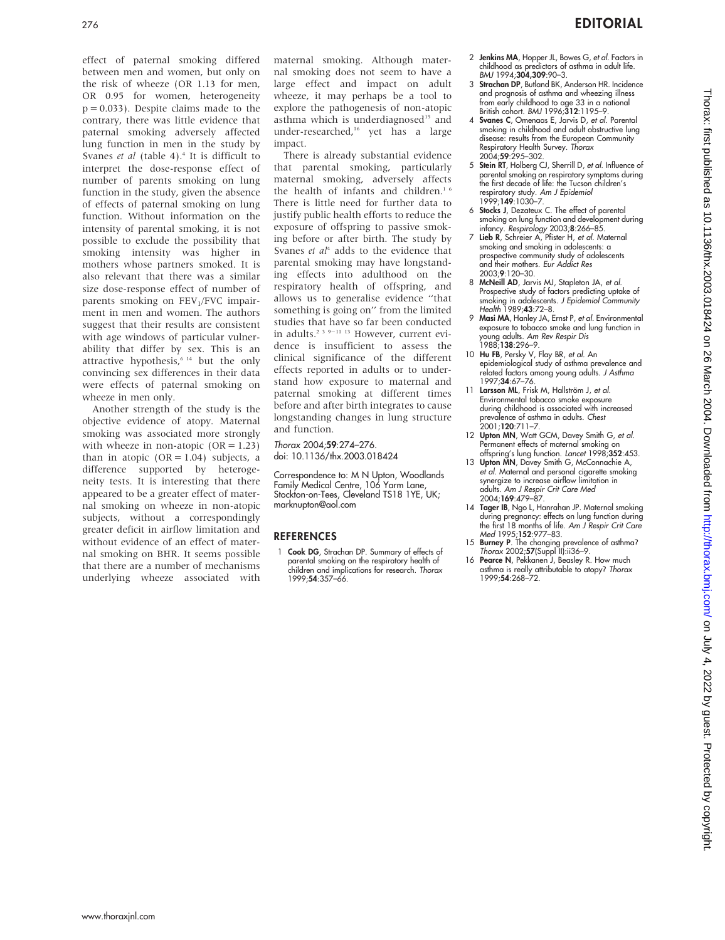effect of paternal smoking differed between men and women, but only on the risk of wheeze (OR 1.13 for men, OR 0.95 for women, heterogeneity  $p = 0.033$ ). Despite claims made to the contrary, there was little evidence that paternal smoking adversely affected lung function in men in the study by Svanes et al (table 4). $4$  It is difficult to interpret the dose-response effect of number of parents smoking on lung function in the study, given the absence of effects of paternal smoking on lung function. Without information on the intensity of parental smoking, it is not possible to exclude the possibility that smoking intensity was higher in mothers whose partners smoked. It is also relevant that there was a similar size dose-response effect of number of parents smoking on FEV<sub>1</sub>/FVC impairment in men and women. The authors suggest that their results are consistent with age windows of particular vulnerability that differ by sex. This is an attractive hypothesis, $6^{6}$ <sup>14</sup> but the only convincing sex differences in their data were effects of paternal smoking on wheeze in men only.

Another strength of the study is the objective evidence of atopy. Maternal smoking was associated more strongly with wheeze in non-atopic  $(OR = 1.23)$ than in atopic  $(OR = 1.04)$  subjects, a difference supported by heterogeneity tests. It is interesting that there appeared to be a greater effect of maternal smoking on wheeze in non-atopic subjects, without a correspondingly greater deficit in airflow limitation and without evidence of an effect of maternal smoking on BHR. It seems possible that there are a number of mechanisms underlying wheeze associated with maternal smoking. Although maternal smoking does not seem to have a large effect and impact on adult wheeze, it may perhaps be a tool to explore the pathogenesis of non-atopic asthma which is underdiagnosed<sup>15</sup> and under-researched,<sup>16</sup> yet has a large impact.

There is already substantial evidence that parental smoking, particularly maternal smoking, adversely affects the health of infants and children.<sup>16</sup> There is little need for further data to justify public health efforts to reduce the exposure of offspring to passive smoking before or after birth. The study by Svanes et  $al<sup>4</sup>$  adds to the evidence that parental smoking may have longstanding effects into adulthood on the respiratory health of offspring, and allows us to generalise evidence ''that something is going on'' from the limited studies that have so far been conducted in adults.<sup>2 3 9-11</sup> <sup>13</sup> However, current evidence is insufficient to assess the clinical significance of the different effects reported in adults or to understand how exposure to maternal and paternal smoking at different times before and after birth integrates to cause longstanding changes in lung structure and function.

Thorax 2004;59:274–276. doi: 10.1136/thx.2003.018424

Correspondence to: M N Upton, Woodlands Family Medical Centre, 106 Yarm Lane, Stockton-on-Tees, Cleveland TS18 1YE, UK; marknupton@aol.com

# **REFERENCES**

1 Cook DG, Strachan DP. Summary of effects of parental smoking on the respiratory health of children and implications for research. Thorax 1999;54:357–66.

- 2 Jenkins MA, Hopper JL, Bowes G, et al. Factors in childhood as predictors of asthma in adult life. BMJ 1994;304,309:90-3.
- 3 Strachan DP, Butland BK, Anderson HR. Incidence and prognosis of asthma and wheezing illness from early childhood to age 33 in a national British cohort. BMJ 1996;312:1195–9.
- 4 Svanes C, Omenaas E, Jarvis D, et al. Parental smoking in childhood and adult obstructive lung disease: results from the European Community Respiratory Health Survey. Thorax 2004;59:295–302.
- 5 Stein RT, Holberg CJ, Sherrill D, et al. Influence of parental smoking on respiratory symptoms during the first decade of life: the Tucson children's respiratory study. *Am J Epidemio*<br>1999;**149**:1030–7.
- 6 Stocks J, Dezateux C. The effect of parental smoking on lung function and development during infancy. Respirology 2003;8:266–85.
- 7 Lieb R, Schreier A, Pfister H, et al. Maternal smoking and smoking in adolescents: a prospective community study of adolescents and their mothers. Eur Addict Res 2003;9:120–30.
- 8 McNeill AD, Jarvis MJ, Stapleton JA, et al. Prospective study of factors predicting uptake of smoking in adolescents. J Epidemiol Community Health 1989;43:72–8.
- 9 Masi MA, Hanley JA, Ernst P, et al. Environmental exposure to tobacco smoke and lung function in young adults. Am Rev Respir Dis 1988;138:296–9.
- 10 Hu FB, Persky V, Flay BR, et al. An epidemiological study of asthma prevalence and related factors among young adults. J Asthma 1997;34:67–76.
- 11 Larsson ML, Frisk M, Hallström J, et al. Environmental tobacco smoke exposure during childhood is associated with increased prevalence of asthma in adults. Chest 2001;120:711–7.
- 12 Upton MN, Watt GCM, Davey Smith G, et al. Permanent effects of maternal smoking on offspring's lung function. Lancet 1998;352:453.
- 13 Upton MN, Davey Smith G, McConnachie A, et al. Maternal and personal cigarette smoking synergize to increase airflow limitation in adults. Am J Respir Crit Care Med 2004;169:479–87.
- 14 Tager IB, Ngo L, Hanrahan JP. Maternal smoking during pregnancy: effects on lung function during the first 18 months of life. Am J Respir Crit Care
- Med 1995;152:977–83. 15 Burney P. The changing prevalence of asthma? Thorax 2002;57(Suppl II):ii36–9.
- 16 Pearce N, Pekkanen J, Beasley R. How much asthma is really attributable to atopy? Thorax 1999;54:268–72.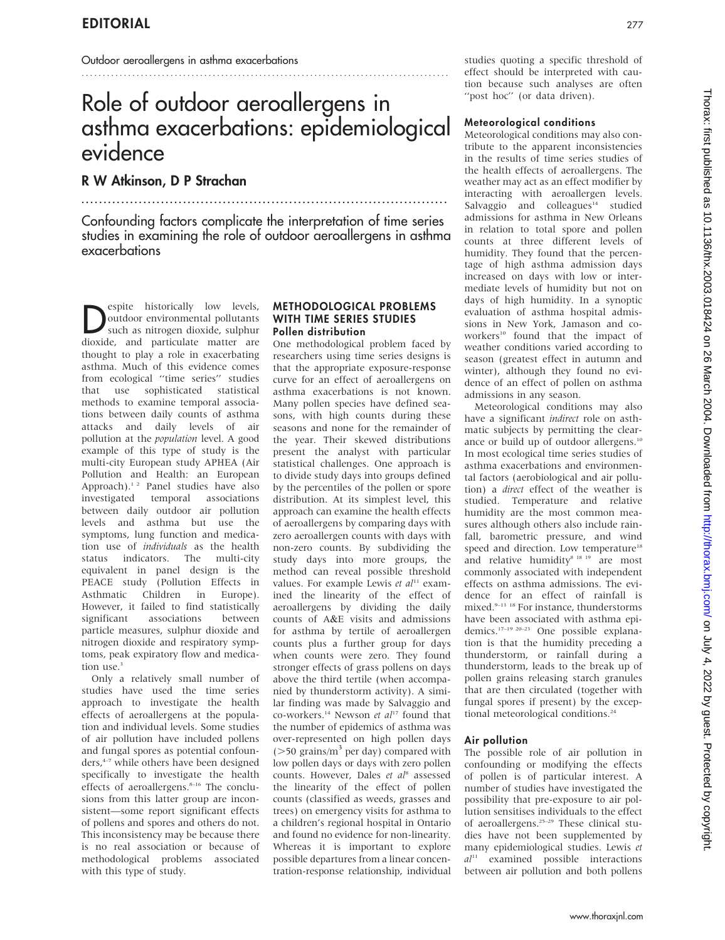# Role of outdoor aeroallergens in asthma exacerbations: epidemiological evidence

# R W Atkinson, D P Strachan

...................................................................................

Confounding factors complicate the interpretation of time series studies in examining the role of outdoor aeroallergens in asthma exacerbations

**Example historically low levels,**<br>
such as nitrogen dioxide, sulphur<br>
dioxide, and particulate matter are outdoor environmental pollutants dioxide, and particulate matter are thought to play a role in exacerbating asthma. Much of this evidence comes from ecological ''time series'' studies that use sophisticated statistical methods to examine temporal associations between daily counts of asthma attacks and daily levels of air pollution at the population level. A good example of this type of study is the multi-city European study APHEA (Air Pollution and Health: an European Approach).<sup>12</sup> Panel studies have also investigated temporal associations between daily outdoor air pollution levels and asthma but use the symptoms, lung function and medication use of individuals as the health status indicators. The multi-city equivalent in panel design is the PEACE study (Pollution Effects in Asthmatic Children in Europe). However, it failed to find statistically significant associations between particle measures, sulphur dioxide and nitrogen dioxide and respiratory symptoms, peak expiratory flow and medication use.<sup>3</sup>

Only a relatively small number of studies have used the time series approach to investigate the health effects of aeroallergens at the population and individual levels. Some studies of air pollution have included pollens and fungal spores as potential confounders,4–7 while others have been designed specifically to investigate the health effects of aeroallergens.<sup>8-16</sup> The conclusions from this latter group are inconsistent—some report significant effects of pollens and spores and others do not. This inconsistency may be because there is no real association or because of methodological problems associated with this type of study.

### METHODOLOGICAL PROBLEMS WITH TIME SERIES STUDIES Pollen distribution

One methodological problem faced by researchers using time series designs is that the appropriate exposure-response curve for an effect of aeroallergens on asthma exacerbations is not known. Many pollen species have defined seasons, with high counts during these seasons and none for the remainder of the year. Their skewed distributions present the analyst with particular statistical challenges. One approach is to divide study days into groups defined by the percentiles of the pollen or spore distribution. At its simplest level, this approach can examine the health effects of aeroallergens by comparing days with zero aeroallergen counts with days with non-zero counts. By subdividing the study days into more groups, the method can reveal possible threshold values. For example Lewis et  $al<sup>11</sup>$  examined the linearity of the effect of aeroallergens by dividing the daily counts of A&E visits and admissions for asthma by tertile of aeroallergen counts plus a further group for days when counts were zero. They found stronger effects of grass pollens on days above the third tertile (when accompanied by thunderstorm activity). A similar finding was made by Salvaggio and co-workers.<sup>14</sup> Newson et  $al^{17}$  found that the number of epidemics of asthma was over-represented on high pollen days  $($ >50 grains/m<sup>3</sup> per day) compared with low pollen days or days with zero pollen counts. However, Dales et al<sup>8</sup> assessed the linearity of the effect of pollen counts (classified as weeds, grasses and trees) on emergency visits for asthma to a children's regional hospital in Ontario and found no evidence for non-linearity. Whereas it is important to explore possible departures from a linear concentration-response relationship, individual

studies quoting a specific threshold of effect should be interpreted with caution because such analyses are often "post hoc" (or data driven).

## Meteorological conditions

Meteorological conditions may also contribute to the apparent inconsistencies in the results of time series studies of the health effects of aeroallergens. The weather may act as an effect modifier by interacting with aeroallergen levels.  $Salvaggio$  and colleagues<sup>14</sup> studied admissions for asthma in New Orleans in relation to total spore and pollen counts at three different levels of humidity. They found that the percentage of high asthma admission days increased on days with low or intermediate levels of humidity but not on days of high humidity. In a synoptic evaluation of asthma hospital admissions in New York, Jamason and coworkers<sup>10</sup> found that the impact of weather conditions varied according to season (greatest effect in autumn and winter), although they found no evidence of an effect of pollen on asthma admissions in any season.

Meteorological conditions may also have a significant indirect role on asthmatic subjects by permitting the clearance or build up of outdoor allergens.10 In most ecological time series studies of asthma exacerbations and environmental factors (aerobiological and air pollution) a direct effect of the weather is studied. Temperature and relative humidity are the most common measures although others also include rainfall, barometric pressure, and wind speed and direction. Low temperature<sup>18</sup> and relative humidity<sup>8 18 19</sup> are most commonly associated with independent effects on asthma admissions. The evidence for an effect of rainfall is mixed.<sup>9-13-18</sup> For instance, thunderstorms have been associated with asthma epidemics.17–19 20–23 One possible explanation is that the humidity preceding a thunderstorm, or rainfall during a thunderstorm, leads to the break up of pollen grains releasing starch granules that are then circulated (together with fungal spores if present) by the exceptional meteorological conditions.<sup>2</sup>

# Air pollution

The possible role of air pollution in confounding or modifying the effects of pollen is of particular interest. A number of studies have investigated the possibility that pre-exposure to air pollution sensitises individuals to the effect of aeroallergens.25–29 These clinical studies have not been supplemented by many epidemiological studies. Lewis et  $al<sup>11</sup>$  examined possible interactions between air pollution and both pollens